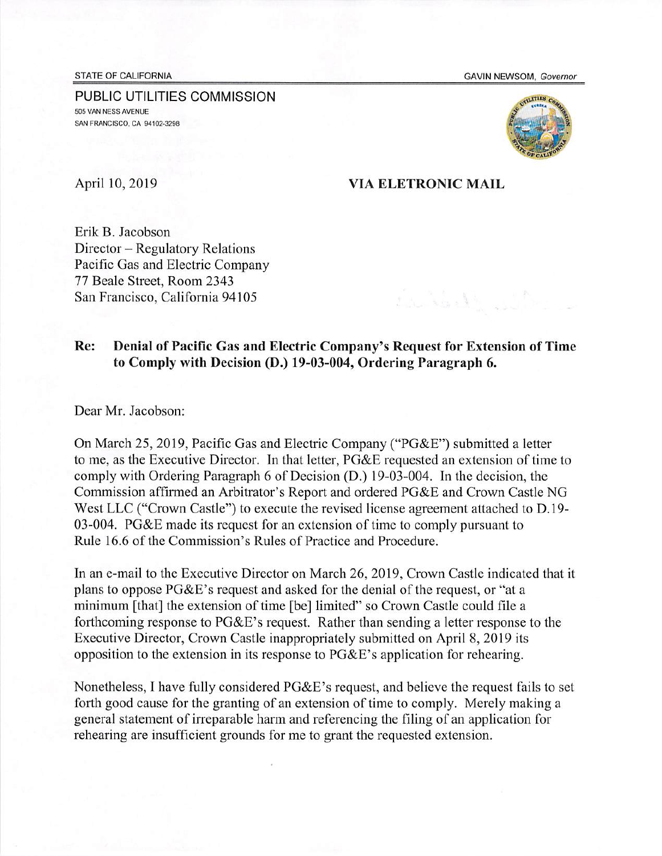STATE OF CALIFORNIA GAVIN NEWSOM, *Governor*

PUBLIC UTILITIES COMMISSION **505 VAN NESS AVENUE SAN FRANCISCO, CA 94102-3295**



## April 10, 2019 VIA ELETRONIC MAIL

La Bally

Erik B. Jacobson Director — Regulatory Relations Pacific Gas and Electric Company 77 Beale Street, Room 2343 San Francisco, California 94105

## Re: Denial of Pacific Gas and Electric Company's Request for Extension of Time to Comply with Decision (D.) 19-03-004, Ordering Paragraph 6.

Dear Mr. Jacobson:

On March 25, 2019, Pacific Gas and Electric Company ("PG&E") submitted a letter to me, as the Executive Director. In that letter, PG&E requested an extension of time to comply with Ordering Paragraph 6 of Decision (D.) 19-03-004. In the decision, the Commission affirmed an Arbitrator's Report and ordered PG&E and Crown Castle NG West LLC ("Crown Castle") to execute the revised license agreement attached to D.19- 03-004. PG&E made its request for an extension of time to comply pursuant to Rule 16.6 of the Commission's Rules of Practice and Procedure.

In an e-mail to the Executive Director on March 26, 2019, Crown Castle indicated that it plans to oppose PG&E's request and asked for the denial of the request, or "at a minimum [that] the extension of time [be] limited" so Crown Castle could file a forthcoming response to PG&E's request. Rather than sending a letter response to the Executive Director, Crown Castle inappropriately submitted on April 8, 2019 its opposition to the extension in its response to PG&E's application for rehearing.

Nonetheless, I have fully considered PG&E's request, and believe the request fails to set forth good cause for the granting of an extension of time to comply. Merely making a general statement of irreparable harm and referencing the filing of an application for rehearing are insufficient grounds for me to grant the requested extension.